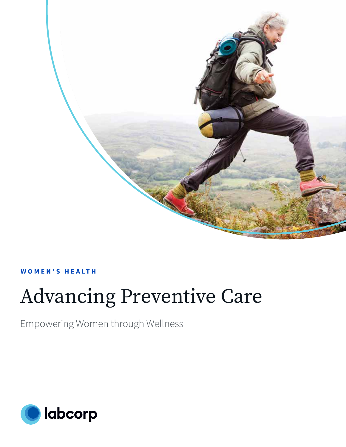

### **W O M E N ' S H E A LT H**

# Advancing Preventive Care

Empowering Women through Wellness

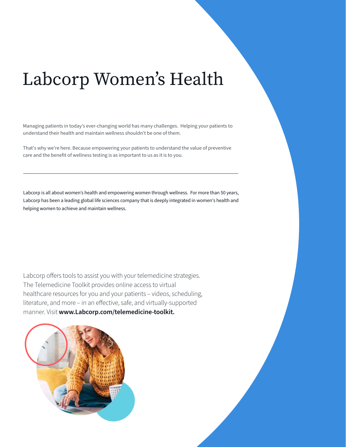## Labcorp Women's Health

Managing patients in today's ever-changing world has many challenges. Helping your patients to understand their health and maintain wellness shouldn't be one of them.

That's why we're here. Because empowering your patients to understand the value of preventive care and the benefit of wellness testing is as important to us as it is to you.

Labcorp is all about women's health and empowering women through wellness. For more than 50 years, Labcorp has been a leading global life sciences company that is deeply integrated in women's health and helping women to achieve and maintain wellness.

Labcorp offers tools to assist you with your telemedicine strategies. The Telemedicine Toolkit provides online access to virtual healthcare resources for you and your patients – videos, scheduling, literature, and more – in an effective, safe, and virtually-supported manner. Visit **www.Labcorp.com/telemedicine-toolkit.**

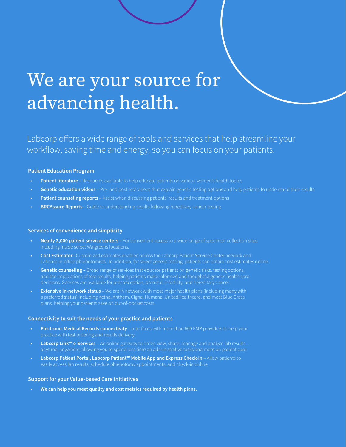# We are your source for advancing health.

Labcorp offers a wide range of tools and services that help streamline your workflow, saving time and energy, so you can focus on your patients.

#### **Patient Education Program**

- **Patient literature –** Resources available to help educate patients on various women's health topics
- **Genetic education videos –** Pre- and post-test videos that explain genetic testing options and help patients to understand their results
- **Patient counseling reports -** Assist when discussing patients' results and treatment options
- **BRCAssure Reports –** Guide to understanding results following hereditary cancer testing

#### **Services of convenience and simplicity**

- **Nearly 2,000 patient service centers** For convenient access to a wide range of specimen collection sites including inside select Walgreens locations.
- **Cost Estimator–** Customized estimates enabled across the Labcorp Patient Service Center network and Labcorp in-office phlebotomists. In addition, for select genetic testing, patients can obtain cost estimates online.
- **Genetic counseling** Broad range of services that educate patients on genetic risks, testing options, and the implications of test results, helping patients make informed and thoughtful genetic health care
- **Extensive in-network status** We are in network with most major health plans (including many with plans, helping your patients save on out-of-pocket costs.

#### **Connectivity to suit the needs of your practice and patients**

- **Electronic Medical Records connectivity –** Interfaces with more than 600 EMR providers to help your
- **Labcorp Link™ e-Services –** An online gateway to order, view, share, manage and analyze lab results anytime, anywhere, allowing you to spend less time on administrative tasks and more on patient care.
- **Labcorp Patient Portal, Labcorp Patient™ Mobile App and Express Check-in –** Allow patients to easily access lab results, schedule phlebotomy appointments, and check-in online.

#### **Support for your Value-based Care initiatives**

• **We can help you meet quality and cost metrics required by health plans.**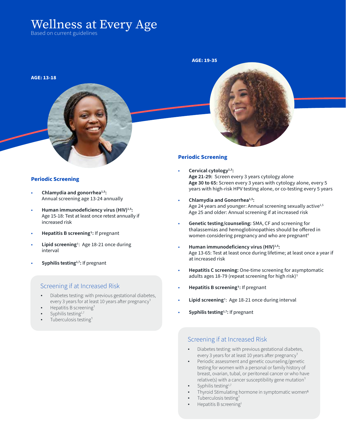## Wellness at Every Age

Based on current guidelines

## **AGE: 13-18**

#### **Periodic Screening**

- **Chlamydia and gonorrhea1,5:** Annual screening age 13-24 annually
- Human immunodeficiency virus (HIV)<sup>1,5</sup>: Age 15-18: Test at least once retest annually if increased risk
- **Hepatitis B screening1:** If pregnant
- **Lipid screening**1: Age 18-21 once during interval
- Syphilis testing<sup>1,7</sup>: If pregnant

#### Screening if at Increased Risk

- Diabetes testing: with previous gestational diabetes, every 3 years for at least 10 years after pregnancy<sup>1</sup>
- Hepatitis B screening<sup>1</sup>
- Syphilis testing<sup>1,7</sup>
- Tuberculosis testing<sup>1</sup>

#### **Periodic Screening**

**AGE: 19-35**

- **Cervical cytology1,3: Age 21-29:** Screen every 3 years cytology alone **Age 30 to 65:** Screen every 3 years with cytology alone, every 5 years with high-risk HPV testing alone, or co-testing every 5 years
- **Chlamydia and Gonorrhea1,5:** Age 24 years and younger: Annual screening sexually active<sup>1,5</sup> Age 25 and older: Annual screening if at increased risk
- **Genetic testing/counseling:** SMA, CF and screening for thalassemias and hemoglobinopathies should be offered in women considering pregnancy and who are pregnant<sup>4</sup>
- **Human immunodeficiency virus (HIV)1,5:** Age 13-65: Test at least once during lifetime; at least once a year if at increased risk
- **Hepatitis C screening:** One-time screening for asymptomatic adults ages 18-79 (repeat screening for high risk)<sup>1</sup>
- **Hepatitis B screening1:** If pregnant
- **Lipid screening**1: Age 18-21 once during interval
- Syphilis testing<sup>1,7</sup>: If pregnant

#### Screening if at Increased Risk

- Diabetes testing: with previous gestational diabetes, every 3 years for at least 10 years after pregnancy<sup>1</sup>
- Periodic assessment and genetic counseling/genetic testing for women with a personal or family history of breast, ovarian, tubal, or peritoneal cancer or who have relative(s) with a cancer susceptibility gene mutation $1$
- Syphilis testing<sup>1,7</sup>
- Thyroid Stimulating hormone in symptomatic women<sup>6</sup>
- Tuberculosis testing<sup>1</sup>
- Hepatitis B screening<sup>1</sup>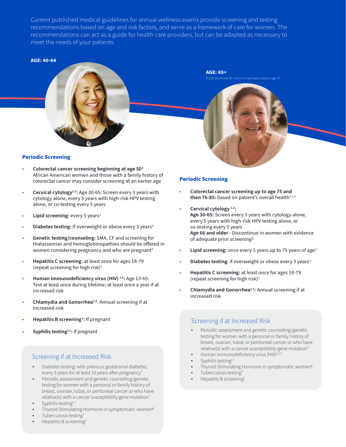Current published medical guidelines for annual wellness exams provide screening and testing recommendations based on age and risk factors, and serve as a framework of care for women. The recommendations can act as a guide for health care providers, but can be adapted as necessary to meet the needs of your patients.

#### **AGE: 40-64**



#### **Periodic Screening**

- **Colorectal cancer screening beginning at age 501** African American women and those with a family history of colorectal cancer may consider screening at an earlier age
- **Cervical cytology1,3:** Age 30-65: Screen every 3 years with cytology alone, every 5 years with high-risk HPV testing alone, or co-testing every 5 years
- **Lipid screening: every 5 years<sup>1</sup>**
- **Diabetes testing:** If overweight or obese every 3 years1
- **Genetic testing/counseling:** SMA, CF and screening for thalassemias and hemoglobinopathies should be offered in women considering pregnancy and who are pregnant<sup>4</sup>
- **Hepatitis C screening:** at least once for ages 18-79 (repeat screening for high risk)1
- **Human immunodeficiency virus (HIV) 1,5:** Age 13-65: Test at least once during lifetime; at least once a year if at increased risk
- **Chlamydia and Gonorrhea1,5**: Annual screening if at increased risk
- **Hepatitis B screening1:** If pregnant
- Syphilis testing<sup>1,7</sup>: If pregnant

#### Screening if at Increased Risk

- Diabetes testing: with previous gestational diabetes, every 3 years for at least 10 years after pregnancy<sup>1</sup>
- Periodic assessment and genetic counseling/genetic testing for women with a personal or family history of breast, ovarian, tubal, or peritoneal cancer or who have  $relative(s)$  with a cancer susceptibility gene mutation<sup>1</sup>
- Syphilis testing<sup>1,7</sup>
- Thyroid Stimulating Hormone in symptomatic women<sup>6</sup>
- Tuberculosis testing<sup>1</sup>
- Hepatitis B screening<sup>1</sup>

#### **Periodic Screening**

**AGE: 65+**

ACOG recommends routine screening to stop at age 75

- **Colorectal cancer screening up to age 75 and**  then 76-85: based on patient's overall health<sup>1,2,3</sup>
- Cervical cytology<sup>1,3</sup>: **Age 30-65:** Screen every 3 years with cytology alone, every 5 years with high-risk HPV testing alone, or co-testing every 5 years **Age 66 and older -** Discontinue in women with evidence of adequate prior screening3
- **Lipid screening:** once every 5 years up to 75 years of age1
- **Diabetes testing**: if overweight or obese every 3 years1
- **Hepatitis C screening:** at least once for ages 18-79 (repeat screening for high risk)1
- **Chlamydia and Gonorrhea1,5:** Annual screening if at increased risk

#### Screening if at Increased Risk

- Periodic assessment and genetic counseling/genetic testing for women with a personal or family history of breast, ovarian, tubal, or peritoneal cancer or who have relative(s) with a cancer susceptibility gene mutation $1$
- Human immunodeficiency virus (HIV)<sup>1,2,5</sup>
- Syphilis testing<sup>1,7</sup>
- Thyroid Stimulating Hormone in symptomatic women<sup>6</sup>
- Tuberculosis testing<sup>1</sup>
- Hepatitis B screening<sup>1</sup>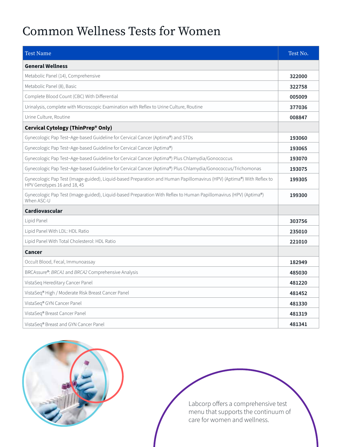## Common Wellness Tests for Women

| <b>Test Name</b>                                                                                                                                     | Test No. |
|------------------------------------------------------------------------------------------------------------------------------------------------------|----------|
| <b>General Wellness</b>                                                                                                                              |          |
| Metabolic Panel (14), Comprehensive                                                                                                                  | 322000   |
| Metabolic Panel (8), Basic                                                                                                                           | 322758   |
| Complete Blood Count (CBC) With Differential                                                                                                         | 005009   |
| Urinalysis, complete with Microscopic Examination with Reflex to Urine Culture, Routine                                                              | 377036   |
| Urine Culture, Routine                                                                                                                               | 008847   |
| Cervical Cytology (ThinPrep® Only)                                                                                                                   |          |
| Gynecologic Pap Test-Age-based Guideline for Cervical Cancer (Aptima®) and STDs                                                                      | 193060   |
| Gynecologic Pap Test-Age-based Guideline for Cervical Cancer (Aptima®)                                                                               | 193065   |
| Gynecologic Pap Test-Age-based Guideline for Cervical Cancer (Aptima®) Plus Chlamydia/Gonococcus                                                     | 193070   |
| Gynecologic Pap Test-Age-based Guideline for Cervical Cancer (Aptima®) Plus Chlamydia/Gonococcus/Trichomonas                                         | 193075   |
| Gynecologic Pap Test (Image-guided), Liquid-based Preparation and Human Papillomavirus (HPV) (Aptima®) With Reflex to<br>HPV Genotypes 16 and 18, 45 | 199305   |
| Gynecologic Pap Test (Image-guided), Liquid-based Preparation With Reflex to Human Papillomavirus (HPV) (Aptima®)<br>When ASC-U                      | 199300   |
| Cardiovascular                                                                                                                                       |          |
| Lipid Panel                                                                                                                                          | 303756   |
| Lipid Panel With LDL: HDL Ratio                                                                                                                      | 235010   |
| Lipid Panel With Total Cholesterol: HDL Ratio                                                                                                        | 221010   |
| Cancer                                                                                                                                               |          |
| Occult Blood, Fecal, Immunoassay                                                                                                                     | 182949   |
| BRCAssure®: BRCA1 and BRCA2 Comprehensive Analysis                                                                                                   | 485030   |
| VistaSeq Hereditary Cancer Panel                                                                                                                     | 481220   |
| VistaSeq® High / Moderate Risk Breast Cancer Panel                                                                                                   | 481452   |
| VistaSeq® GYN Cancer Panel                                                                                                                           | 481330   |
| VistaSeq® Breast Cancer Panel                                                                                                                        | 481319   |
| VistaSeq® Breast and GYN Cancer Panel                                                                                                                | 481341   |



Labcorp offers a comprehensive test menu that supports the continuum of care for women and wellness.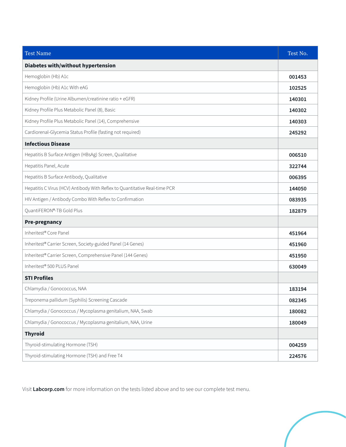| <b>Test Name</b>                                                           | Test No. |
|----------------------------------------------------------------------------|----------|
| Diabetes with/without hypertension                                         |          |
| Hemoglobin (Hb) A1c                                                        | 001453   |
| Hemoglobin (Hb) A1c With eAG                                               | 102525   |
| Kidney Profile (Urine Albumen/creatinine ratio + eGFR)                     | 140301   |
| Kidney Profile Plus Metabolic Panel (8), Basic                             | 140302   |
| Kidney Profile Plus Metabolic Panel (14), Comprehensive                    | 140303   |
| Cardiorenal-Glycemia Status Profile (fasting not required)                 | 245292   |
| <b>Infectious Disease</b>                                                  |          |
| Hepatitis B Surface Antigen (HBsAg) Screen, Qualitative                    | 006510   |
| Hepatitis Panel, Acute                                                     | 322744   |
| Hepatitis B Surface Antibody, Qualitative                                  | 006395   |
| Hepatitis C Virus (HCV) Antibody With Reflex to Quantitative Real-time PCR | 144050   |
| HIV Antigen / Antibody Combo With Reflex to Confirmation                   | 083935   |
| QuantiFERON®-TB Gold Plus                                                  | 182879   |
| <b>Pre-pregnancy</b>                                                       |          |
| Inheritest® Core Panel                                                     | 451964   |
| Inheritest® Carrier Screen, Society-guided Panel (14 Genes)                | 451960   |
| Inheritest® Carrier Screen, Comprehensive Panel (144 Genes)                | 451950   |
| Inheritest® 500 PLUS Panel                                                 | 630049   |
| <b>STI Profiles</b>                                                        |          |
| Chlamydia / Gonococcus, NAA                                                | 183194   |
| Treponema pallidum (Syphilis) Screening Cascade                            | 082345   |
| Chlamydia / Gonococcus / Mycoplasma genitalium, NAA, Swab                  | 180082   |
| Chlamydia / Gonococcus / Mycoplasma genitalium, NAA, Urine                 | 180049   |
| <b>Thyroid</b>                                                             |          |
| Thyroid-stimulating Hormone (TSH)                                          | 004259   |
| Thyroid-stimulating Hormone (TSH) and Free T4                              | 224576   |

Visit **Labcorp.com** for more information on the tests listed above and to see our complete test menu.